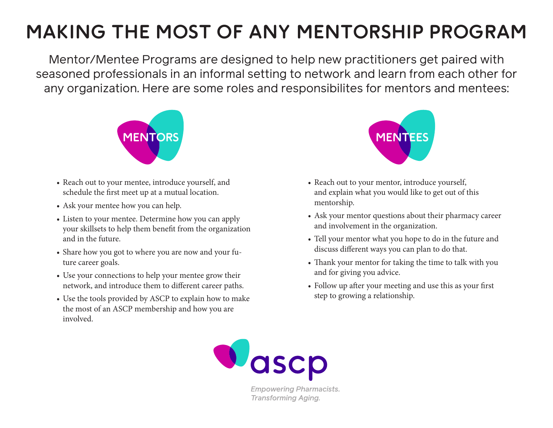# **MAKING THE MOST OF ANY MENTORSHIP PROGRAM**

Mentor/Mentee Programs are designed to help new practitioners get paired with seasoned professionals in an informal setting to network and learn from each other for any organization. Here are some roles and responsibilites for mentors and mentees:



- Reach out to your mentee, introduce yourself, and schedule the first meet up at a mutual location.
- Ask your mentee how you can help.
- Listen to your mentee. Determine how you can apply your skillsets to help them benefit from the organization and in the future.
- Share how you got to where you are now and your future career goals.
- Use your connections to help your mentee grow their network, and introduce them to different career paths.
- Use the tools provided by ASCP to explain how to make the most of an ASCP membership and how you are involved.



- Reach out to your mentor, introduce yourself, and explain what you would like to get out of this mentorship.
- Ask your mentor questions about their pharmacy career and involvement in the organization.
- Tell your mentor what you hope to do in the future and discuss different ways you can plan to do that.
- Thank your mentor for taking the time to talk with you and for giving you advice.
- Follow up after your meeting and use this as your first step to growing a relationship.



**Empowering Pharmacists. Transforming Aging.**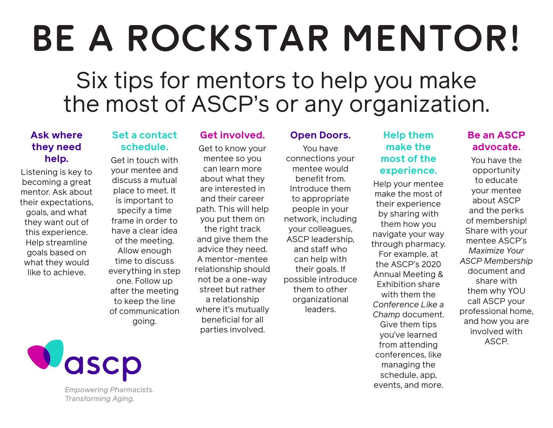# **BE A ROCKSTAR MENTOR!**

# Six tips for mentors to help you make the most of ASCP's or any organization.

## **Ask where they need help.**

Listening is key to becoming a great mentor. Ask about their expectations, goals, and what they want out of this experience. Help streamline goals based on what they would like to achieve.

### **Set a contact schedule.**

Get in touch with your mentee and discuss a mutual place to meet. It is important to specify a time frame in order to have a clear idea of the meeting. Allow enough time to discuss everything in step one. Follow up after the meeting to keep the line of communication going.

# **Get involved.**

Get to know your mentee so you can learn more about what they are interested in and their career path. This will help you put them on the right track and give them the advice they need. A mentor-mentee relationship should not be a one-way street but rather a relationship where it's mutually beneficial for all parties involved.

#### **Open Doors.**

You have connections your mentee would benefit from. Introduce them to appropriate people in your network, including your colleagues, ASCP leadership, and staff who can help with their goals. If possible introduce them to other organizational leaders.

# **Help them make the most of the experience.**

Help your mentee make the most of their experience by sharing with them how you navigate your way through pharmacy. For example, at the ASCP's 2020 Annual Meeting & Exhibition share with them the *Conference Like a Champ* document. Give them tips you've learned from attending conferences, like managing the schedule, app, events, and more.

# **Be an ASCP advocate.**

You have the opportunity to educate your mentee about ASCP and the perks of membership! Share with your mentee ASCP's *Maximize Your ASCP Membership* document and share with them why YOU call ASCP your professional home, and how you are involved with ASCP.



**Empowering Pharmacists. Transforming Aging.**